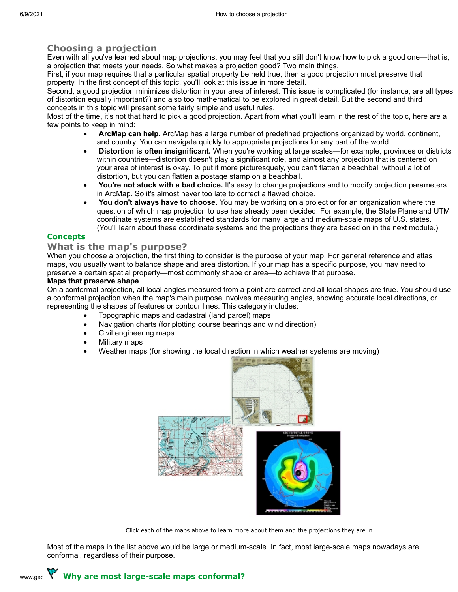## **Choosing a projection**

Even with all you've learned about map projections, you may feel that you still don't know how to pick a good one—that is, a projection that meets your needs. So what makes a projection good? Two main things.

First, if your map requires that a particular spatial property be held true, then a good projection must preserve that property. In the first concept of this topic, you'll look at this issue in more detail.

Second, a good projection minimizes distortion in your area of interest. This issue is complicated (for instance, are all types of distortion equally important?) and also too mathematical to be explored in great detail. But the second and third concepts in this topic will present some fairly simple and useful rules.

Most of the time, it's not that hard to pick a good projection. Apart from what you'll learn in the rest of the topic, here are a few points to keep in mind:

- · **ArcMap can help.** ArcMap has a large number of predefined projections organized by world, continent, and country. You can navigate quickly to appropriate projections for any part of the world.
- · **Distortion is often insignificant.** When you're working at large scales—for example, provinces or districts within countries—distortion doesn't play a significant role, and almost any projection that is centered on your area of interest is okay. To put it more picturesquely, you can't flatten a beachball without a lot of distortion, but you can flatten a postage stamp on a beachball.
- · **You're not stuck with a bad choice.** It's easy to change projections and to modify projection parameters in ArcMap. So it's almost never too late to correct a flawed choice.
- · **You don't always have to choose.** You may be working on a project or for an organization where the question of which map projection to use has already been decided. For example, the State Plane and UTM coordinate systems are established standards for many large and medium-scale maps of U.S. states. (You'll learn about these coordinate systems and the projections they are based on in the next module.)

#### **Concepts**

#### **What is the map's purpose?**

When you choose a projection, the first thing to consider is the purpose of your map. For general reference and atlas maps, you usually want to balance shape and area distortion. If your map has a specific purpose, you may need to preserve a certain spatial property—most commonly shape or area—to achieve that purpose.

#### **Maps that preserve shape**

On a conformal projection, all local angles measured from a point are correct and all local shapes are true. You should use a conformal projection when the map's main purpose involves measuring angles, showing accurate local directions, or representing the shapes of features or contour lines. This category includes:

- Topographic maps and cadastral (land parcel) maps
- Navigation charts (for plotting course bearings and wind direction)
- Civil engineering maps
- **Military maps**
- Weather maps (for showing the local direction in which weather systems are moving)



Click each of the maps above to learn more about them and the projections they are in.

Most of the maps in the list above would be large or medium-scale. In fact, most large-scale maps nowadays are conformal, regardless of their purpose.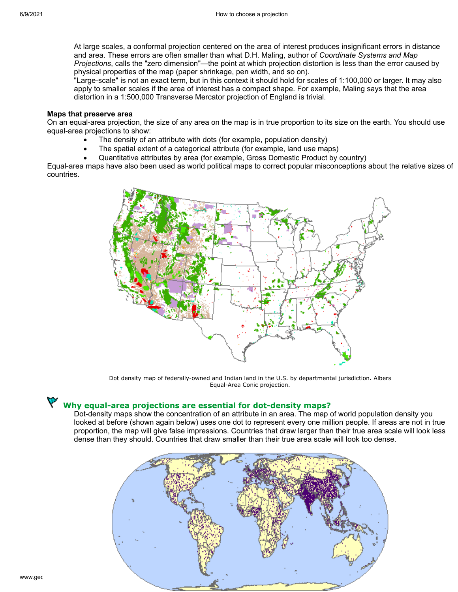At large scales, a conformal projection centered on the area of interest produces insignificant errors in distance and area. These errors are often smaller than what D.H. Maling, author of *Coordinate Systems and Map Projections*, calls the "zero dimension"—the point at which projection distortion is less than the error caused by physical properties of the map (paper shrinkage, pen width, and so on).

"Large-scale" is not an exact term, but in this context it should hold for scales of 1:100,000 or larger. It may also apply to smaller scales if the area of interest has a compact shape. For example, Maling says that the area distortion in a 1:500,000 Transverse Mercator projection of England is trivial.

#### **Maps that preserve area**

On an equal-area projection, the size of any area on the map is in true proportion to its size on the earth. You should use equal-area projections to show:

- The density of an attribute with dots (for example, population density)
- The spatial extent of a categorical attribute (for example, land use maps)
- · Quantitative attributes by area (for example, Gross Domestic Product by country)

Equal-area maps have also been used as world political maps to correct popular misconceptions about the relative sizes of countries.



Dot density map of federally-owned and Indian land in the U.S. by departmental jurisdiction. Albers Equal-Area Conic projection.

# **Why equal-area projections are essential for dot-density maps?**

Dot-density maps show the concentration of an attribute in an area. The map of world population density you looked at before (shown again below) uses one dot to represent every one million people. If areas are not in true proportion, the map will give false impressions. Countries that draw larger than their true area scale will look less dense than they should. Countries that draw smaller than their true area scale will look too dense.

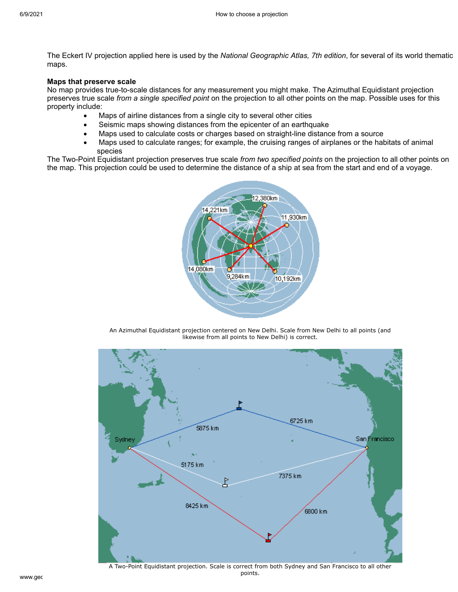The Eckert IV projection applied here is used by the *National Geographic Atlas, 7th edition*, for several of its world thematic maps.

#### **Maps that preserve scale**

No map provides true-to-scale distances for any measurement you might make. The Azimuthal Equidistant projection preserves true scale *from a single specified point* on the projection to all other points on the map. Possible uses for this property include:

- Maps of airline distances from a single city to several other cities
- Seismic maps showing distances from the epicenter of an earthquake
- Maps used to calculate costs or charges based on straight-line distance from a source
- · Maps used to calculate ranges; for example, the cruising ranges of airplanes or the habitats of animal species

The Two-Point Equidistant projection preserves true scale *from two specified points* on the projection to all other points on the map. This projection could be used to determine the distance of a ship at sea from the start and end of a voyage.



An Azimuthal Equidistant projection centered on New Delhi. Scale from New Delhi to all points (and likewise from all points to New Delhi) is correct.



www.gec $\,$ A Two-Point Equidistant projection. Scale is correct from both Sydney and San Francisco to all other points.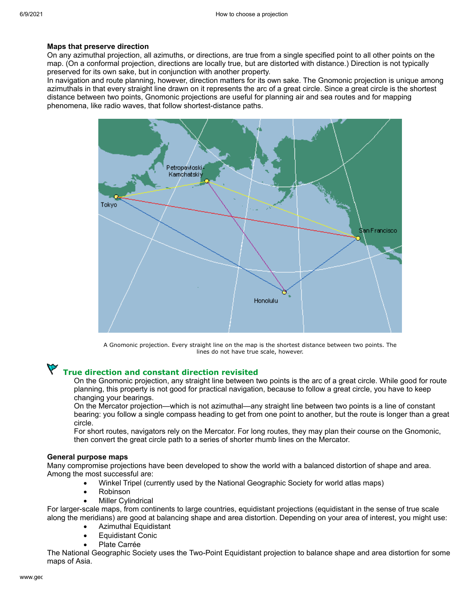#### **Maps that preserve direction**

On any azimuthal projection, all azimuths, or directions, are true from a single specified point to all other points on the map. (On a conformal projection, directions are locally true, but are distorted with distance.) Direction is not typically preserved for its own sake, but in conjunction with another property.

In navigation and route planning, however, direction matters for its own sake. The Gnomonic projection is unique among azimuthals in that every straight line drawn on it represents the arc of a great circle. Since a great circle is the shortest distance between two points, Gnomonic projections are useful for planning air and sea routes and for mapping phenomena, like radio waves, that follow shortest-distance paths.



A Gnomonic projection. Every straight line on the map is the shortest distance between two points. The lines do not have true scale, however.

# **True direction and constant direction revisited**

On the Gnomonic projection, any straight line between two points is the arc of a great circle. While good for route planning, this property is not good for practical navigation, because to follow a great circle, you have to keep changing your bearings.

On the Mercator projection—which is not azimuthal—any straight line between two points is a line of constant bearing: you follow a single compass heading to get from one point to another, but the route is longer than a great circle.

For short routes, navigators rely on the Mercator. For long routes, they may plan their course on the Gnomonic, then convert the great circle path to a series of shorter rhumb lines on the Mercator.

#### **General purpose maps**

Many compromise projections have been developed to show the world with a balanced distortion of shape and area. Among the most successful are:

- · Winkel Tripel (currently used by the National Geographic Society for world atlas maps)
- · Robinson
- **Miller Cylindrical**

For larger-scale maps, from continents to large countries, equidistant projections (equidistant in the sense of true scale along the meridians) are good at balancing shape and area distortion. Depending on your area of interest, you might use:

- Azimuthal Equidistant
- **Equidistant Conic**
- Plate Carrée

The National Geographic Society uses the Two-Point Equidistant projection to balance shape and area distortion for some maps of Asia.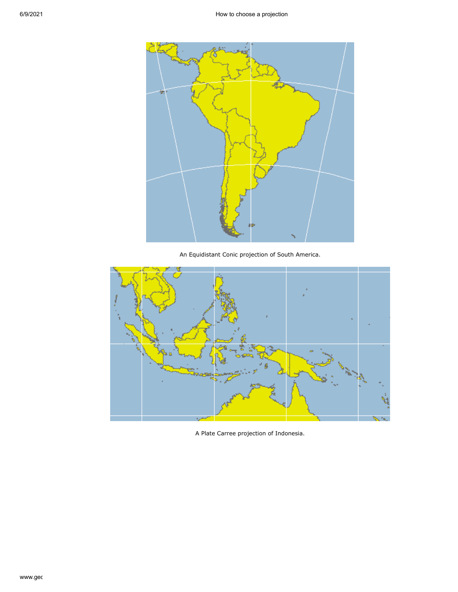

An Equidistant Conic projection of South America.



A Plate Carree projection of Indonesia.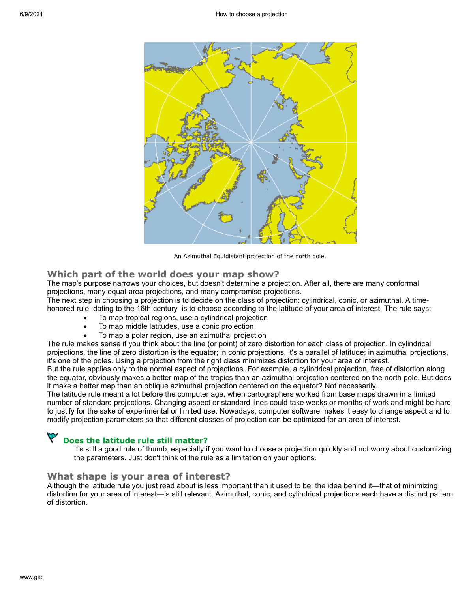

An Azimuthal Equidistant projection of the north pole.

#### **Which part of the world does your map show?**

The map's purpose narrows your choices, but doesn't determine a projection. After all, there are many conformal projections, many equal-area projections, and many compromise projections.

The next step in choosing a projection is to decide on the class of projection: cylindrical, conic, or azimuthal. A timehonored rule–dating to the 16th century–is to choose according to the latitude of your area of interest. The rule says:

- To map tropical regions, use a cylindrical projection
- To map middle latitudes, use a conic projection
- To map a polar region, use an azimuthal projection

The rule makes sense if you think about the line (or point) of zero distortion for each class of projection. In cylindrical projections, the line of zero distortion is the equator; in conic projections, it's a parallel of latitude; in azimuthal projections, it's one of the poles. Using a projection from the right class minimizes distortion for your area of interest.

But the rule applies only to the normal aspect of projections. For example, a cylindrical projection, free of distortion along the equator, obviously makes a better map of the tropics than an azimuthal projection centered on the north pole. But does it make a better map than an oblique azimuthal projection centered on the equator? Not necessarily.

The latitude rule meant a lot before the computer age, when cartographers worked from base maps drawn in a limited number of standard projections. Changing aspect or standard lines could take weeks or months of work and might be hard to justify for the sake of experimental or limited use. Nowadays, computer software makes it easy to change aspect and to modify projection parameters so that different classes of projection can be optimized for an area of interest.

# **Does the latitude rule still matter?**

It's still a good rule of thumb, especially if you want to choose a projection quickly and not worry about customizing the parameters. Just don't think of the rule as a limitation on your options.

#### **What shape is your area of interest?**

Although the latitude rule you just read about is less important than it used to be, the idea behind it—that of minimizing distortion for your area of interest—is still relevant. Azimuthal, conic, and cylindrical projections each have a distinct pattern of distortion.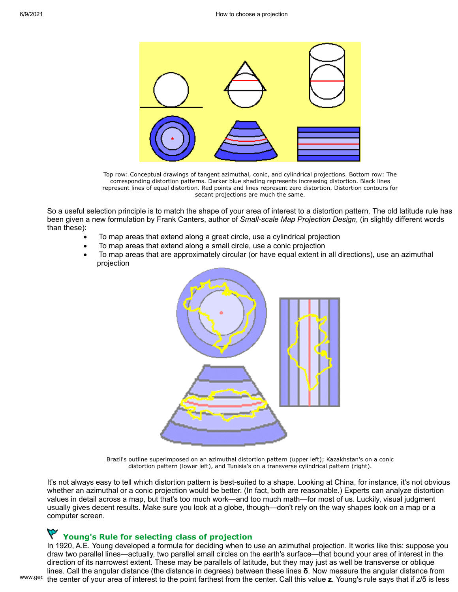

Top row: Conceptual drawings of tangent azimuthal, conic, and cylindrical projections. Bottom row: The corresponding distortion patterns. Darker blue shading represents increasing distortion. Black lines represent lines of equal distortion. Red points and lines represent zero distortion. Distortion contours for secant projections are much the same.

So a useful selection principle is to match the shape of your area of interest to a distortion pattern. The old latitude rule has been given a new formulation by Frank Canters, author of *Small-scale Map Projection Design*, (in slightly different words than these):

- · To map areas that extend along a great circle, use a cylindrical projection
- To map areas that extend along a small circle, use a conic projection
- · To map areas that are approximately circular (or have equal extent in all directions), use an azimuthal projection



Brazil's outline superimposed on an azimuthal distortion pattern (upper left); Kazakhstan's on a conic distortion pattern (lower left), and Tunisia's on a transverse cylindrical pattern (right).

It's not always easy to tell which distortion pattern is best-suited to a shape. Looking at China, for instance, it's not obvious whether an azimuthal or a conic projection would be better. (In fact, both are reasonable.) Experts can analyze distortion values in detail across a map, but that's too much work—and too much math—for most of us. Luckily, visual judgment usually gives decent results. Make sure you look at a globe, though—don't rely on the way shapes look on a map or a computer screen.

# **Young's Rule for selecting class of projection**

<sup>www.gec</sup> the center of your area of interest to the point farthest from the center. Call this value **z**. Young's rule says that if z/δ is less In 1920, A.E. Young developed a formula for deciding when to use an azimuthal projection. It works like this: suppose you draw two parallel lines—actually, two parallel small circles on the earth's surface—that bound your area of interest in the direction of its narrowest extent. These may be parallels of latitude, but they may just as well be transverse or oblique lines. Call the angular distance (the distance in degrees) between these lines **δ**. Now measure the angular distance from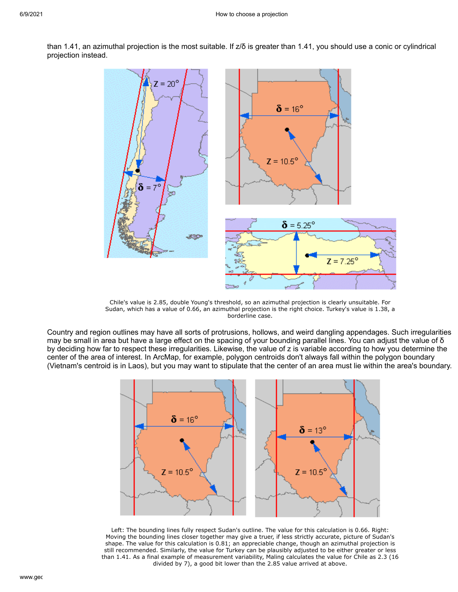

than 1.41, an azimuthal projection is the most suitable. If z/δ is greater than 1.41, you should use a conic or cylindrical projection instead.

Chile's value is 2.85, double Young's threshold, so an azimuthal projection is clearly unsuitable. For Sudan, which has a value of 0.66, an azimuthal projection is the right choice. Turkey's value is 1.38, a borderline case.

 $Z = 7.25^{\circ}$ 

Country and region outlines may have all sorts of protrusions, hollows, and weird dangling appendages. Such irregularities may be small in area but have a large effect on the spacing of your bounding parallel lines. You can adjust the value of δ by deciding how far to respect these irregularities. Likewise, the value of z is variable according to how you determine the center of the area of interest. In ArcMap, for example, polygon centroids don't always fall within the polygon boundary (Vietnam's centroid is in Laos), but you may want to stipulate that the center of an area must lie within the area's boundary.



Left: The bounding lines fully respect Sudan's outline. The value for this calculation is 0.66. Right: Moving the bounding lines closer together may give a truer, if less strictly accurate, picture of Sudan's shape. The value for this calculation is 0.81; an appreciable change, though an azimuthal projection is still recommended. Similarly, the value for Turkey can be plausibly adjusted to be either greater or less than 1.41. As a final example of measurement variability, Maling calculates the value for Chile as 2.3 (16 divided by 7), a good bit lower than the 2.85 value arrived at above.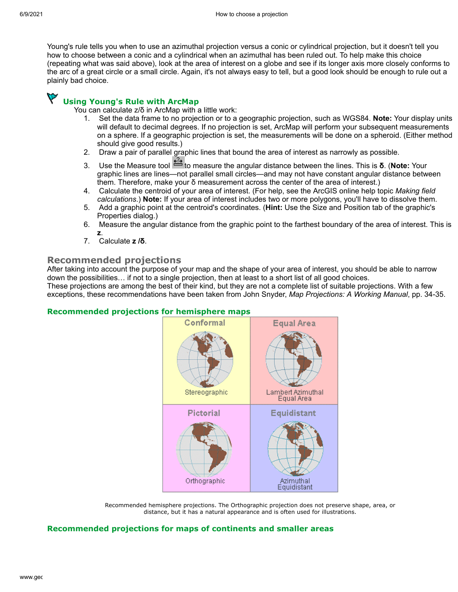Young's rule tells you when to use an azimuthal projection versus a conic or cylindrical projection, but it doesn't tell you how to choose between a conic and a cylindrical when an azimuthal has been ruled out. To help make this choice (repeating what was said above), look at the area of interest on a globe and see if its longer axis more closely conforms to the arc of a great circle or a small circle. Again, it's not always easy to tell, but a good look should be enough to rule out a plainly bad choice.

# **Using Young's Rule with ArcMap**

You can calculate z/δ in ArcMap with a little work:

- 1. Set the data frame to no projection or to a geographic projection, such as WGS84. **Note:** Your display units will default to decimal degrees. If no projection is set, ArcMap will perform your subsequent measurements on a sphere. If a geographic projection is set, the measurements will be done on a spheroid. (Either method should give good results.)
- 2. Draw a pair of parallel graphic lines that bound the area of interest as narrowly as possible.
- 3. Use the Measure tool **the the measure the angular distance between the lines. This is <b>δ**. (Note: Your graphic lines are lines—not parallel small circles—and may not have constant angular distance between them. Therefore, make your δ measurement across the center of the area of interest.)
- 4. Calculate the centroid of your area of interest. (For help, see the ArcGIS online help topic *Making field calculations*.) **Note:** If your area of interest includes two or more polygons, you'll have to dissolve them.
- 5. Add a graphic point at the centroid's coordinates. (**Hint:** Use the Size and Position tab of the graphic's Properties dialog.)
- 6. Measure the angular distance from the graphic point to the farthest boundary of the area of interest. This is **z**.
- 7. Calculate **z /δ**.

### **Recommended projections**

After taking into account the purpose of your map and the shape of your area of interest, you should be able to narrow down the possibilities… if not to a single projection, then at least to a short list of all good choices.

These projections are among the best of their kind, but they are not a complete list of suitable projections. With a few exceptions, these recommendations have been taken from John Snyder, *Map Projections: A Working Manual*, pp. 34-35.

#### **Recommended projections for hemisphere maps**



Recommended hemisphere projections. The Orthographic projection does not preserve shape, area, or distance, but it has a natural appearance and is often used for illustrations.

#### **Recommended projections for maps of continents and smaller areas**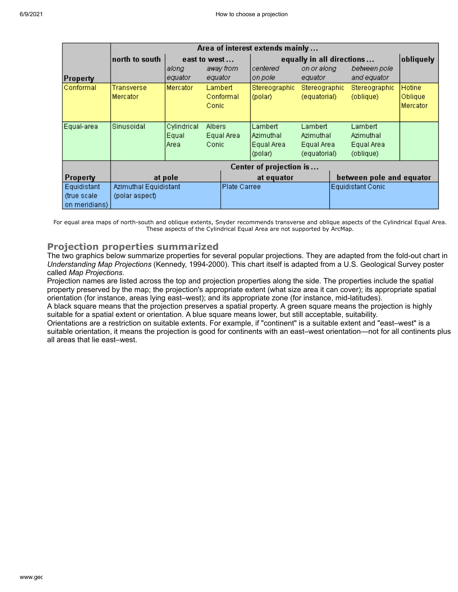|                 | Area of interest extends mainly |                                         |                     |           |                           |                          |                          |               |          |  |  |  |  |  |
|-----------------|---------------------------------|-----------------------------------------|---------------------|-----------|---------------------------|--------------------------|--------------------------|---------------|----------|--|--|--|--|--|
|                 | north to south                  | east to west                            |                     |           | equally in all directions | obliquely                |                          |               |          |  |  |  |  |  |
|                 |                                 | along                                   |                     | away from | centered                  | on or along              |                          | between pole  |          |  |  |  |  |  |
| <b>Property</b> |                                 | equator                                 | equator             |           | on pole                   | equator                  |                          | and equator   |          |  |  |  |  |  |
| Conformal       | Transverse                      | Mercator                                | Lambert             |           | Stereographic             | Stereographic            |                          | Stereographic | Hotine   |  |  |  |  |  |
|                 | Mercator                        |                                         |                     | Conformal | (polar).                  | (equatorial)             |                          | (oblique)     | Oblique  |  |  |  |  |  |
|                 |                                 |                                         | Conic               |           |                           |                          |                          |               | Mercator |  |  |  |  |  |
|                 |                                 |                                         |                     |           |                           |                          |                          |               |          |  |  |  |  |  |
| Equal-area      | Sinusoidal                      | Cylindrical<br>Lambert<br><b>Albers</b> |                     | Lambert   |                           | Lambert                  |                          |               |          |  |  |  |  |  |
|                 |                                 | Equal                                   | Equal Area<br>Conic |           | lAzimuthal                | Azimuthal                |                          | Azimuthal     |          |  |  |  |  |  |
|                 |                                 | Area                                    |                     |           | Equal Area                | Equal Area               |                          | Equal Area    |          |  |  |  |  |  |
|                 |                                 |                                         |                     |           | (polar)                   | (equatorial)             | (oblique)                |               |          |  |  |  |  |  |
|                 | Center of projection is         |                                         |                     |           |                           |                          |                          |               |          |  |  |  |  |  |
| <b>Property</b> |                                 | at pole                                 |                     |           | at equator                |                          | between pole and equator |               |          |  |  |  |  |  |
| Equidistant     | Azimuthal Equidistant           |                                         | Plate Carree        |           |                           | <b>Equidistant Conic</b> |                          |               |          |  |  |  |  |  |
| (true scale)    | (polar aspect)                  |                                         |                     |           |                           |                          |                          |               |          |  |  |  |  |  |
| on meridians)   |                                 |                                         |                     |           |                           |                          |                          |               |          |  |  |  |  |  |

For equal area maps of north-south and oblique extents, Snyder recommends transverse and oblique aspects of the Cylindrical Equal Area. These aspects of the Cylindrical Equal Area are not supported by ArcMap.

### **Projection properties summarized**

The two graphics below summarize properties for several popular projections. They are adapted from the fold-out chart in *Understanding Map Projections* (Kennedy, 1994-2000). This chart itself is adapted from a U.S. Geological Survey poster called *Map Projections*.

Projection names are listed across the top and projection properties along the side. The properties include the spatial property preserved by the map; the projection's appropriate extent (what size area it can cover); its appropriate spatial orientation (for instance, areas lying east–west); and its appropriate zone (for instance, mid-latitudes).

A black square means that the projection preserves a spatial property. A green square means the projection is highly suitable for a spatial extent or orientation. A blue square means lower, but still acceptable, suitability.

Orientations are a restriction on suitable extents. For example, if "continent" is a suitable extent and "east–west" is a suitable orientation, it means the projection is good for continents with an east–west orientation—not for all continents plus all areas that lie east–west.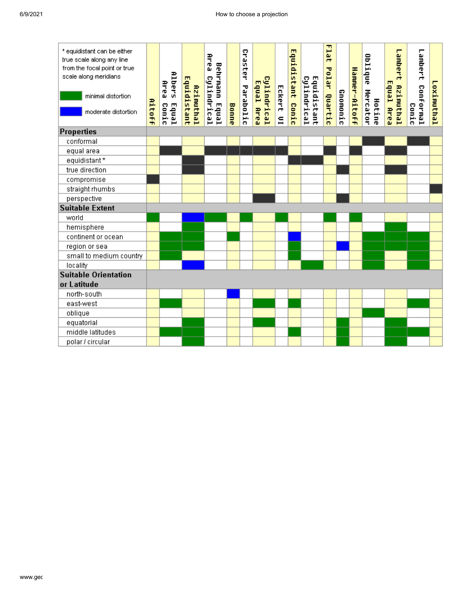| * equidistant can be either<br>true scale along any line<br>from the focal point or true<br>scale along meridians<br>minimal distortion<br>moderate distortion | Aitoff | <b>Albers</b><br><b>Area</b><br><b>Equal</b><br>Conic | Equidistant<br>Azimuthal | Beak<br>Behrmann Equal<br>Cylindrical | Bonne | Craster<br>Parabolic | Cylindrical<br>Equal<br>Brea | Eckert<br>$\subseteq$ | Equidistant<br><b>Conic</b> | Cylindrical<br>Equidistant | Flat<br>Polar<br>Quartic | Gnomonic | Hammer-Aitoff | Oblique<br>Mercator<br>Hotine | Lambert<br>Equal Area<br>Azimuthal | Lambert<br>Conformal<br>Conic | Loximuthal |
|----------------------------------------------------------------------------------------------------------------------------------------------------------------|--------|-------------------------------------------------------|--------------------------|---------------------------------------|-------|----------------------|------------------------------|-----------------------|-----------------------------|----------------------------|--------------------------|----------|---------------|-------------------------------|------------------------------------|-------------------------------|------------|
| <b>Properties</b>                                                                                                                                              |        |                                                       |                          |                                       |       |                      |                              |                       |                             |                            |                          |          |               |                               |                                    |                               |            |
| conformal                                                                                                                                                      |        |                                                       |                          |                                       |       |                      |                              |                       |                             |                            |                          |          |               |                               |                                    |                               |            |
| equal area                                                                                                                                                     |        |                                                       |                          |                                       |       |                      |                              |                       |                             |                            |                          |          |               |                               |                                    |                               |            |
| equidistant*                                                                                                                                                   |        |                                                       |                          |                                       |       |                      |                              |                       |                             |                            |                          |          |               |                               |                                    |                               |            |
| true direction                                                                                                                                                 |        |                                                       |                          |                                       |       |                      |                              |                       |                             |                            |                          |          |               |                               |                                    |                               |            |
| compromise                                                                                                                                                     |        |                                                       |                          |                                       |       |                      |                              |                       |                             |                            |                          |          |               |                               |                                    |                               |            |
| straight rhumbs                                                                                                                                                |        |                                                       |                          |                                       |       |                      |                              |                       |                             |                            |                          |          |               |                               |                                    |                               |            |
| perspective                                                                                                                                                    |        |                                                       |                          |                                       |       |                      |                              |                       |                             |                            |                          |          |               |                               |                                    |                               |            |
| <b>Suitable Extent</b>                                                                                                                                         |        |                                                       |                          |                                       |       |                      |                              |                       |                             |                            |                          |          |               |                               |                                    |                               |            |
| world                                                                                                                                                          |        |                                                       |                          |                                       |       |                      |                              |                       |                             |                            |                          |          |               |                               |                                    |                               |            |
| hemisphere                                                                                                                                                     |        |                                                       |                          |                                       |       |                      |                              |                       |                             |                            |                          |          |               |                               |                                    |                               |            |
| continent or ocean                                                                                                                                             |        |                                                       |                          |                                       |       |                      |                              |                       |                             |                            |                          |          |               |                               |                                    |                               |            |
| region or sea                                                                                                                                                  |        |                                                       |                          |                                       |       |                      |                              |                       |                             |                            |                          |          |               |                               |                                    |                               |            |
| small to medium country                                                                                                                                        |        |                                                       |                          |                                       |       |                      |                              |                       |                             |                            |                          |          |               |                               |                                    |                               |            |
| locality                                                                                                                                                       |        |                                                       |                          |                                       |       |                      |                              |                       |                             |                            |                          |          |               |                               |                                    |                               |            |
| <b>Suitable Orientation</b>                                                                                                                                    |        |                                                       |                          |                                       |       |                      |                              |                       |                             |                            |                          |          |               |                               |                                    |                               |            |
| or Latitude                                                                                                                                                    |        |                                                       |                          |                                       |       |                      |                              |                       |                             |                            |                          |          |               |                               |                                    |                               |            |
| north-south                                                                                                                                                    |        |                                                       |                          |                                       |       |                      |                              |                       |                             |                            |                          |          |               |                               |                                    |                               |            |
| east-west                                                                                                                                                      |        |                                                       |                          |                                       |       |                      |                              |                       |                             |                            |                          |          |               |                               |                                    |                               |            |
| oblique                                                                                                                                                        |        |                                                       |                          |                                       |       |                      |                              |                       |                             |                            |                          |          |               |                               |                                    |                               |            |
| equatorial                                                                                                                                                     |        |                                                       |                          |                                       |       |                      |                              |                       |                             |                            |                          |          |               |                               |                                    |                               |            |
| middle latitudes                                                                                                                                               |        |                                                       |                          |                                       |       |                      |                              |                       |                             |                            |                          |          |               |                               |                                    |                               |            |
| polar / circular                                                                                                                                               |        |                                                       |                          |                                       |       |                      |                              |                       |                             |                            |                          |          |               |                               |                                    |                               |            |